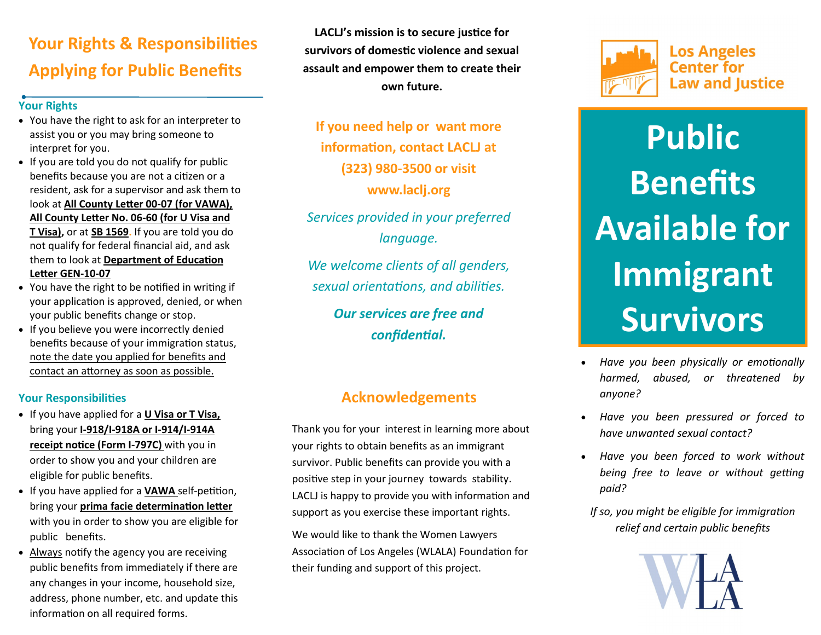# **Your Rights & Responsibilities Applying for Public Benefits**

#### **Your Rights**

- You have the right to ask for an interpreter to assist you or you may bring someone to interpret for you.
- If you are told you do not qualify for public benefits because you are not a citizen or a resident, ask for a supervisor and ask them to look at **All County Letter 00-07 (for VAWA), All County Letter No. 06-60 (for U Visa and T Visa),** or at **SB 1569.** If you are told you do not qualify for federal financial aid, and ask them to look at **Department of Education Letter GEN-10-07**
- You have the right to be notified in writing if your application is approved, denied, or when your public benefits change or stop.
- If you believe you were incorrectly denied benefits because of your immigration status, note the date you applied for benefits and contact an attorney as soon as possible.

#### **Your Responsibilities**

- If you have applied for a **U Visa or T Visa,**  bring your **I-918/I-918A or I-914/I-914A receipt notice (Form I-797C)** with you in order to show you and your children are eligible for public benefits.
- If you have applied for a **VAWA** self-petition, bring your **prima facie determination letter**  with you in order to show you are eligible for public benefits.
- Always notify the agency you are receiving public benefits from immediately if there are any changes in your income, household size, address, phone number, etc. and update this information on all required forms.

**LACLJ's mission is to secure justice for survivors of domestic violence and sexual assault and empower them to create their own future.** 

**If you need help or want more information, contact LACLJ at (323) 980-3500 or visit www.laclj.org**

*Services provided in your preferred language.*

*We welcome clients of all genders, sexual orientations, and abilities.*

> *Our services are free and confidential.*

## **Acknowledgements**

Thank you for your interest in learning more about your rights to obtain benefits as an immigrant survivor. Public benefits can provide you with a positive step in your journey towards stability. LACLJ is happy to provide you with information and support as you exercise these important rights.

We would like to thank the Women Lawyers Association of Los Angeles (WLALA) Foundation for their funding and support of this project.



# **Public Benefits Available for Immigrant Survivors**

- *Have you been physically or emotionally harmed, abused, or threatened by anyone?*
- *Have you been pressured or forced to have unwanted sexual contact?*
- *Have you been forced to work without being free to leave or without getting paid?*

*If so, you might be eligible for immigration relief and certain public benefits*

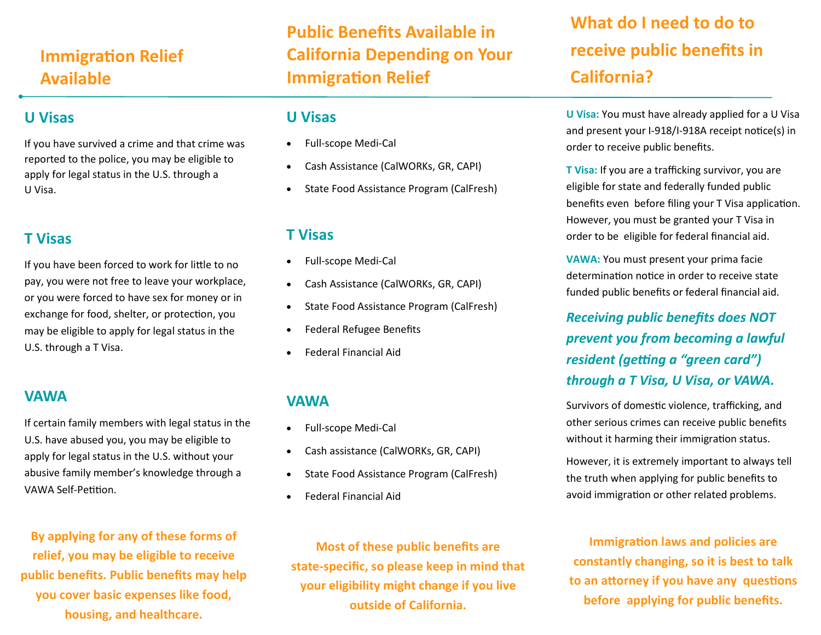# **Immigration Relief Available**

## **U Visas**

If you have survived a crime and that crime was reported to the police, you may be eligible to apply for legal status in the U.S. through a U Visa.

## **T Visas**

If you have been forced to work for little to no pay, you were not free to leave your workplace, or you were forced to have sex for money or in exchange for food, shelter, or protection, you may be eligible to apply for legal status in the U.S. through a T Visa.

## **VAWA**

If certain family members with legal status in the U.S. have abused you, you may be eligible to apply for legal status in the U.S. without your abusive family member's knowledge through a VAWA Self-Petition.

**By applying for any of these forms of relief, you may be eligible to receive public benefits. Public benefits may help you cover basic expenses like food, housing, and healthcare.**

**Public Benefits Available in California Depending on Your Immigration Relief** 

## **U Visas**

- Full-scope Medi-Cal
- Cash Assistance (CalWORKs, GR, CAPI)
- State Food Assistance Program (CalFresh)

## **T Visas**

- Full-scope Medi-Cal
- Cash Assistance (CalWORKs, GR, CAPI)
- State Food Assistance Program (CalFresh)
- Federal Refugee Benefits
- Federal Financial Aid

## **VAWA**

- Full-scope Medi-Cal
- Cash assistance (CalWORKs, GR, CAPI)
- State Food Assistance Program (CalFresh)
- Federal Financial Aid

**What do I need to do to receive public benefits in California?**

**U Visa:** You must have already applied for a U Visa and present your I-918/I-918A receipt notice(s) in order to receive public benefits.

**T Visa:** If you are a trafficking survivor, you are eligible for state and federally funded public benefits even before filing your T Visa application. However, you must be granted your T Visa in order to be eligible for federal financial aid.

**VAWA:** You must present your prima facie determination notice in order to receive state funded public benefits or federal financial aid.

*Receiving public benefits does NOT prevent you from becoming a lawful resident (getting a "green card") through a T Visa, U Visa, or VAWA.*

Survivors of domestic violence, trafficking, and other serious crimes can receive public benefits without it harming their immigration status.

However, it is extremely important to always tell the truth when applying for public benefits to avoid immigration or other related problems.

**Immigration laws and policies are constantly changing, so it is best to talk to an attorney if you have any questions before applying for public benefits.**

**Most of these public benefits are state-specific, so please keep in mind that your eligibility might change if you live outside of California.**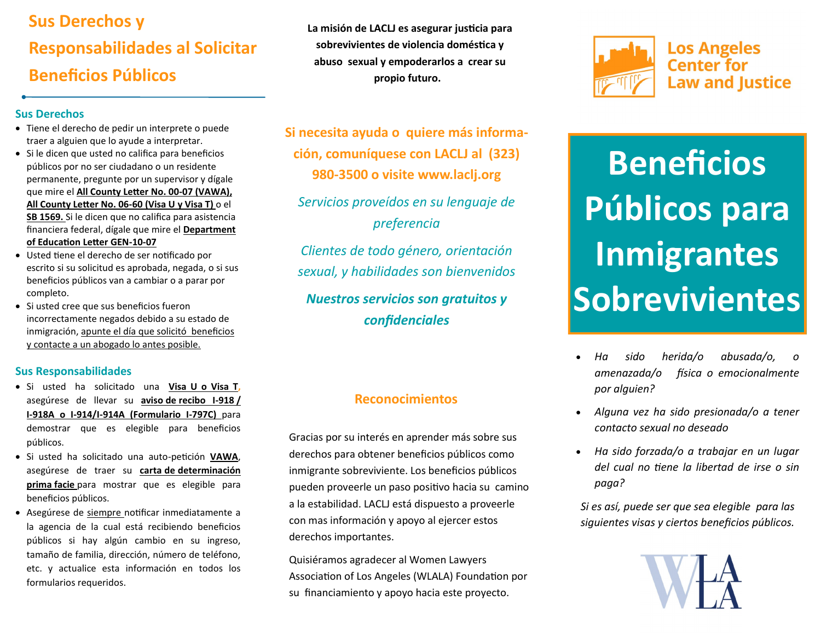# **Sus Derechos y Responsabilidades al Solicitar Beneficios Públicos**

#### **Sus Derechos**

- Tiene el derecho de pedir un interprete o puede traer a alguien que lo ayude a interpretar.
- Si le dicen que usted no califica para beneficios públicos por no ser ciudadano o un residente permanente, pregunte por un supervisor y dígale que mire el **All County Letter No. 00-07 (VAWA), All County Letter No. 06-60 (Visa U y Visa T)** o el **SB 1569.** Si le dicen que no califica para asistencia financiera federal, dígale que mire el **Department of Education Letter GEN-10-07**
- Usted tiene el derecho de ser notificado por escrito si su solicitud es aprobada, negada, o si sus beneficios públicos van a cambiar o a parar por completo.
- Si usted cree que sus beneficios fueron incorrectamente negados debido a su estado de inmigración, apunte el día que solicitó beneficios y contacte a un abogado lo antes posible.

#### **Sus Responsabilidades**

- Si usted ha solicitado una **Visa U o Visa T,** asegúrese de llevar su **aviso de recibo I-918 / I-918A o I-914/I-914A (Formulario I-797C)** para demostrar que es elegible para beneficios públicos.
- Si usted ha solicitado una auto-petición **VAWA**, asegúrese de traer su **carta de determinación prima facie** para mostrar que es elegible para beneficios públicos.
- Asegúrese de siempre notificar inmediatamente a la agencia de la cual está recibiendo beneficios públicos si hay algún cambio en su ingreso, tamaño de familia, dirección, número de teléfono, etc. y actualice esta información en todos los formularios requeridos.

**La misión de LACLJ es asegurar justicia para sobrevivientes de violencia doméstica y abuso sexual y empoderarlos a crear su propio futuro.** 

**Si necesita ayuda o quiere más información, comuníquese con LACLJ al (323) 980-3500 o visite www.laclj.org**

*Servicios proveídos en su lenguaje de preferencia*

*Clientes de todo género, orientación sexual, y habilidades son bienvenidos Nuestros servicios son gratuitos y confidenciales*

#### **Reconocimientos**

Gracias por su interés en aprender más sobre sus derechos para obtener beneficios públicos como inmigrante sobreviviente. Los beneficios públicos pueden proveerle un paso positivo hacia su camino a la estabilidad. LACLJ está dispuesto a proveerle con mas información y apoyo al ejercer estos derechos importantes.

Quisiéramos agradecer al Women Lawyers Association of Los Angeles (WLALA) Foundation por su financiamiento y apoyo hacia este proyecto.



**Los Angeles Center for Law and Justice** 

# **Beneficios Públicos para Inmigrantes Sobrevivientes**

- *Ha sido herida/o abusada/o, o amenazada/o física o emocionalmente por alguien?*
- *Alguna vez ha sido presionada/o a tener contacto sexual no deseado*
- *Ha sido forzada/o a trabajar en un lugar del cual no tiene la libertad de irse o sin paga?*

*Si es así, puede ser que sea elegible para las siguientes visas y ciertos beneficios públicos.*